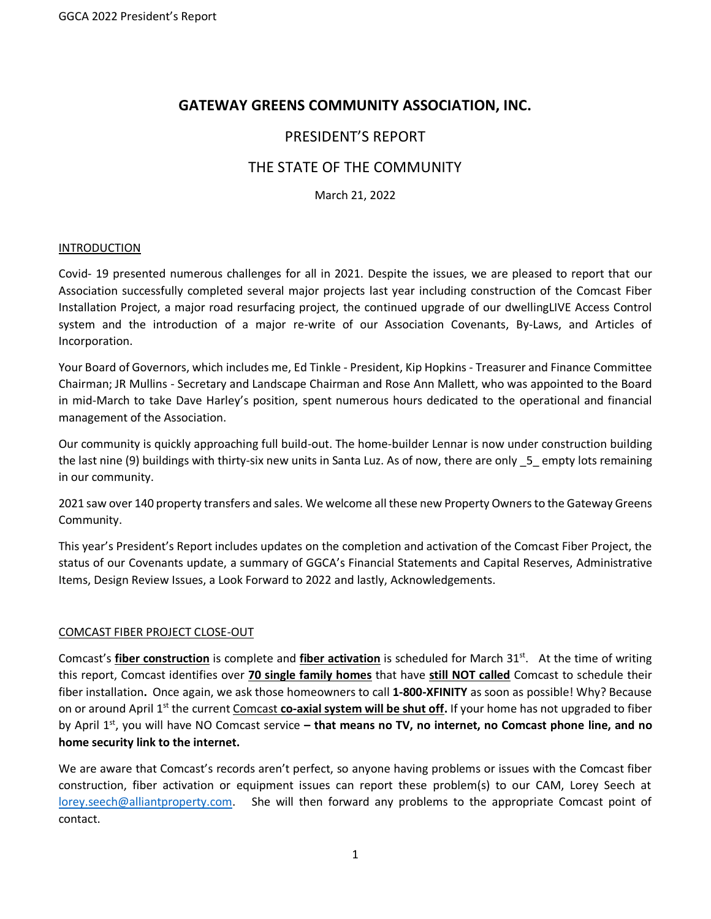# **GATEWAY GREENS COMMUNITY ASSOCIATION, INC.**

## PRESIDENT'S REPORT

# THE STATE OF THE COMMUNITY

March 21, 2022

#### **INTRODUCTION**

Covid- 19 presented numerous challenges for all in 2021. Despite the issues, we are pleased to report that our Association successfully completed several major projects last year including construction of the Comcast Fiber Installation Project, a major road resurfacing project, the continued upgrade of our dwellingLIVE Access Control system and the introduction of a major re-write of our Association Covenants, By-Laws, and Articles of Incorporation.

Your Board of Governors, which includes me, Ed Tinkle - President, Kip Hopkins - Treasurer and Finance Committee Chairman; JR Mullins - Secretary and Landscape Chairman and Rose Ann Mallett, who was appointed to the Board in mid-March to take Dave Harley's position, spent numerous hours dedicated to the operational and financial management of the Association.

Our community is quickly approaching full build-out. The home-builder Lennar is now under construction building the last nine (9) buildings with thirty-six new units in Santa Luz. As of now, there are only \_5\_ empty lots remaining in our community.

2021 saw over 140 property transfers and sales. We welcome all these new Property Ownersto the Gateway Greens Community.

This year's President's Report includes updates on the completion and activation of the Comcast Fiber Project, the status of our Covenants update, a summary of GGCA's Financial Statements and Capital Reserves, Administrative Items, Design Review Issues, a Look Forward to 2022 and lastly, Acknowledgements.

### COMCAST FIBER PROJECT CLOSE-OUT

Comcast's **fiber construction** is complete and *fiber activation* is scheduled for March 31<sup>st</sup>. At the time of writing this report, Comcast identifies over **70 single family homes** that have **still NOT called** Comcast to schedule their fiber installation**.** Once again, we ask those homeowners to call **1-800-XFINITY** as soon as possible! Why? Because on or around April 1st the current Comcast **co-axial system will be shut off.** If your home has not upgraded to fiber by April 1st, you will have NO Comcast service **– that means no TV, no internet, no Comcast phone line, and no home security link to the internet.**

We are aware that Comcast's records aren't perfect, so anyone having problems or issues with the Comcast fiber construction, fiber activation or equipment issues can report these problem(s) to our CAM, Lorey Seech at [lorey.seech@alliantproperty.com.](mailto:lorey.seech@alliantproperty.com) She will then forward any problems to the appropriate Comcast point of contact.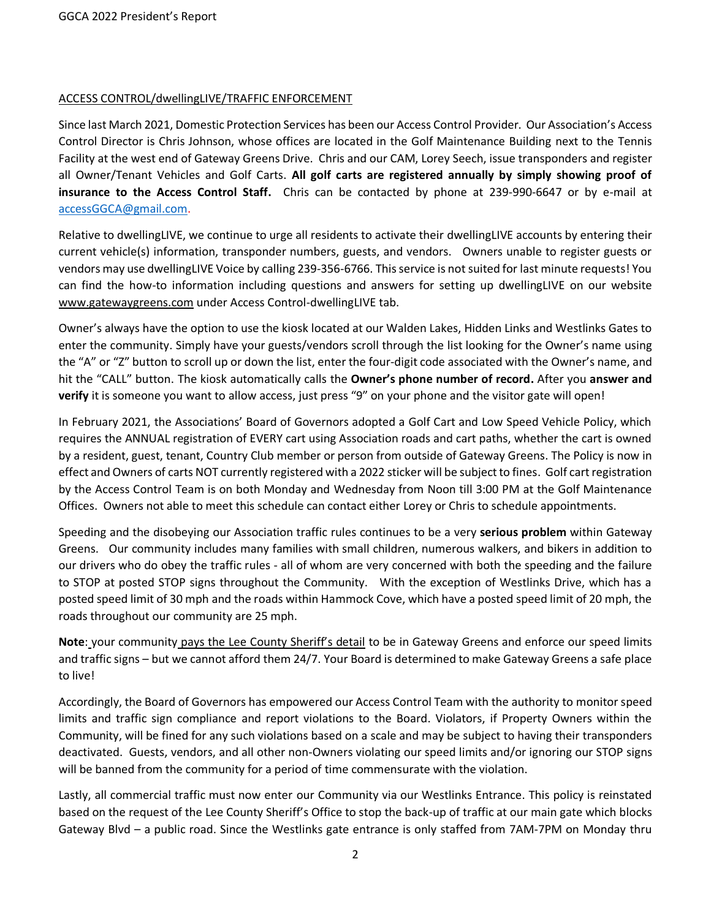### ACCESS CONTROL/dwellingLIVE/TRAFFIC ENFORCEMENT

Since last March 2021, Domestic Protection Services has been our Access Control Provider. Our Association's Access Control Director is Chris Johnson, whose offices are located in the Golf Maintenance Building next to the Tennis Facility at the west end of Gateway Greens Drive. Chris and our CAM, Lorey Seech, issue transponders and register all Owner/Tenant Vehicles and Golf Carts. **All golf carts are registered annually by simply showing proof of insurance to the Access Control Staff.** Chris can be contacted by phone at 239-990-6647 or by e-mail at [accessGGCA@gmail.com.](mailto:accessGGCA@gmail.com)

Relative to dwellingLIVE, we continue to urge all residents to activate their dwellingLIVE accounts by entering their current vehicle(s) information, transponder numbers, guests, and vendors. Owners unable to register guests or vendors may use dwellingLIVE Voice by calling 239-356-6766. This service is not suited for last minute requests! You can find the how-to information including questions and answers for setting up dwellingLIVE on our website [www.gatewaygreens.com](http://www.gatewaygreens.com/) under Access Control-dwellingLIVE tab.

Owner's always have the option to use the kiosk located at our Walden Lakes, Hidden Links and Westlinks Gates to enter the community. Simply have your guests/vendors scroll through the list looking for the Owner's name using the "A" or "Z" button to scroll up or down the list, enter the four-digit code associated with the Owner's name, and hit the "CALL" button. The kiosk automatically calls the **Owner's phone number of record.** After you **answer and verify** it is someone you want to allow access, just press "9" on your phone and the visitor gate will open!

In February 2021, the Associations' Board of Governors adopted a Golf Cart and Low Speed Vehicle Policy, which requires the ANNUAL registration of EVERY cart using Association roads and cart paths, whether the cart is owned by a resident, guest, tenant, Country Club member or person from outside of Gateway Greens. The Policy is now in effect and Owners of carts NOT currently registered with a 2022 sticker will be subject to fines. Golf cart registration by the Access Control Team is on both Monday and Wednesday from Noon till 3:00 PM at the Golf Maintenance Offices. Owners not able to meet this schedule can contact either Lorey or Chris to schedule appointments.

Speeding and the disobeying our Association traffic rules continues to be a very **serious problem** within Gateway Greens. Our community includes many families with small children, numerous walkers, and bikers in addition to our drivers who do obey the traffic rules - all of whom are very concerned with both the speeding and the failure to STOP at posted STOP signs throughout the Community. With the exception of Westlinks Drive, which has a posted speed limit of 30 mph and the roads within Hammock Cove, which have a posted speed limit of 20 mph, the roads throughout our community are 25 mph.

**Note**: your community pays the Lee County Sheriff's detail to be in Gateway Greens and enforce our speed limits and traffic signs – but we cannot afford them 24/7. Your Board is determined to make Gateway Greens a safe place to live!

Accordingly, the Board of Governors has empowered our Access Control Team with the authority to monitor speed limits and traffic sign compliance and report violations to the Board. Violators, if Property Owners within the Community, will be fined for any such violations based on a scale and may be subject to having their transponders deactivated. Guests, vendors, and all other non-Owners violating our speed limits and/or ignoring our STOP signs will be banned from the community for a period of time commensurate with the violation.

Lastly, all commercial traffic must now enter our Community via our Westlinks Entrance. This policy is reinstated based on the request of the Lee County Sheriff's Office to stop the back-up of traffic at our main gate which blocks Gateway Blvd – a public road. Since the Westlinks gate entrance is only staffed from 7AM-7PM on Monday thru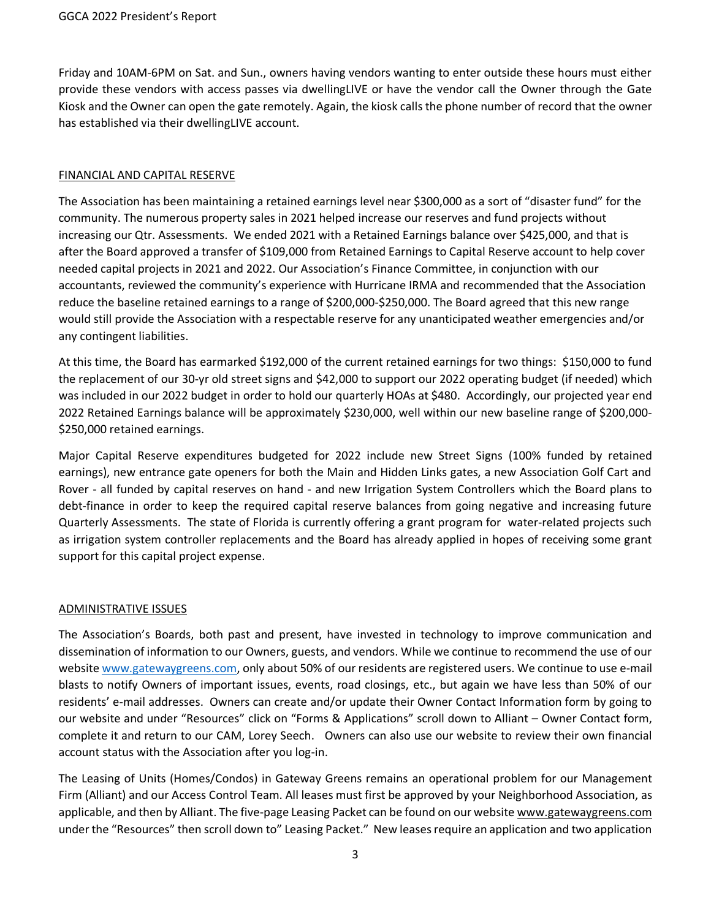Friday and 10AM-6PM on Sat. and Sun., owners having vendors wanting to enter outside these hours must either provide these vendors with access passes via dwellingLIVE or have the vendor call the Owner through the Gate Kiosk and the Owner can open the gate remotely. Again, the kiosk calls the phone number of record that the owner has established via their dwellingLIVE account.

## FINANCIAL AND CAPITAL RESERVE

The Association has been maintaining a retained earnings level near \$300,000 as a sort of "disaster fund" for the community. The numerous property sales in 2021 helped increase our reserves and fund projects without increasing our Qtr. Assessments. We ended 2021 with a Retained Earnings balance over \$425,000, and that is after the Board approved a transfer of \$109,000 from Retained Earnings to Capital Reserve account to help cover needed capital projects in 2021 and 2022. Our Association's Finance Committee, in conjunction with our accountants, reviewed the community's experience with Hurricane IRMA and recommended that the Association reduce the baseline retained earnings to a range of \$200,000-\$250,000. The Board agreed that this new range would still provide the Association with a respectable reserve for any unanticipated weather emergencies and/or any contingent liabilities.

At this time, the Board has earmarked \$192,000 of the current retained earnings for two things: \$150,000 to fund the replacement of our 30-yr old street signs and \$42,000 to support our 2022 operating budget (if needed) which was included in our 2022 budget in order to hold our quarterly HOAs at \$480. Accordingly, our projected year end 2022 Retained Earnings balance will be approximately \$230,000, well within our new baseline range of \$200,000- \$250,000 retained earnings.

Major Capital Reserve expenditures budgeted for 2022 include new Street Signs (100% funded by retained earnings), new entrance gate openers for both the Main and Hidden Links gates, a new Association Golf Cart and Rover - all funded by capital reserves on hand - and new Irrigation System Controllers which the Board plans to debt-finance in order to keep the required capital reserve balances from going negative and increasing future Quarterly Assessments. The state of Florida is currently offering a grant program for water-related projects such as irrigation system controller replacements and the Board has already applied in hopes of receiving some grant support for this capital project expense.

## ADMINISTRATIVE ISSUES

The Association's Boards, both past and present, have invested in technology to improve communication and dissemination of information to our Owners, guests, and vendors. While we continue to recommend the use of our websit[e www.gatewaygreens.com,](http://www.gatewaygreens.com/) only about 50% of our residents are registered users. We continue to use e-mail blasts to notify Owners of important issues, events, road closings, etc., but again we have less than 50% of our residents' e-mail addresses. Owners can create and/or update their Owner Contact Information form by going to our website and under "Resources" click on "Forms & Applications" scroll down to Alliant – Owner Contact form, complete it and return to our CAM, Lorey Seech. Owners can also use our website to review their own financial account status with the Association after you log-in.

The Leasing of Units (Homes/Condos) in Gateway Greens remains an operational problem for our Management Firm (Alliant) and our Access Control Team. All leases must first be approved by your Neighborhood Association, as applicable, and then by Alliant. The five-page Leasing Packet can be found on our website [www.gatewaygreens.com](http://www.gatewaygreens.com/) under the "Resources" then scroll down to" Leasing Packet." New leasesrequire an application and two application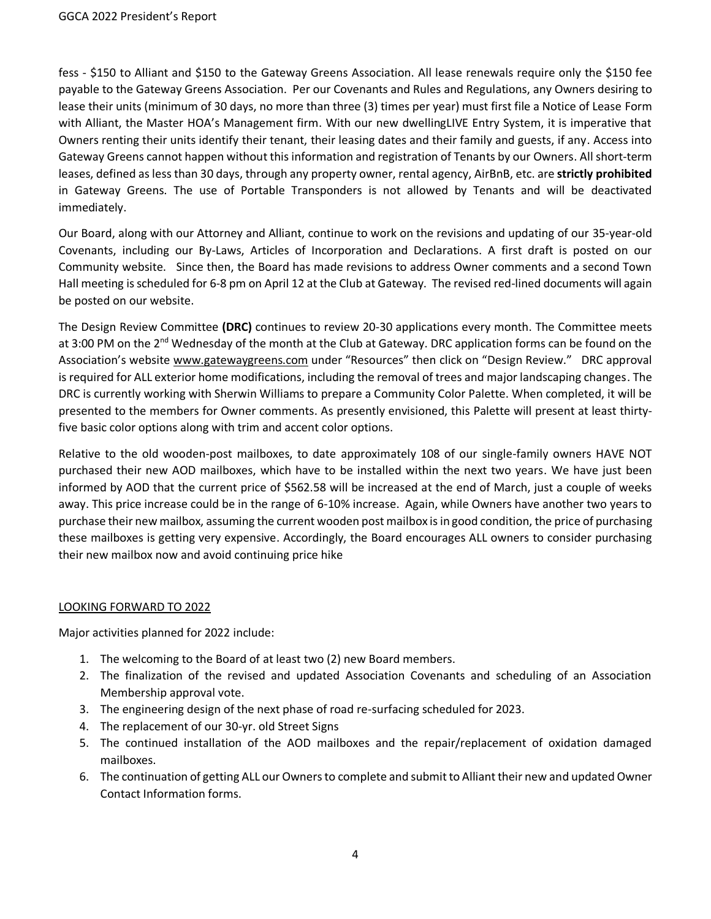fess - \$150 to Alliant and \$150 to the Gateway Greens Association. All lease renewals require only the \$150 fee payable to the Gateway Greens Association. Per our Covenants and Rules and Regulations, any Owners desiring to lease their units (minimum of 30 days, no more than three (3) times per year) must first file a Notice of Lease Form with Alliant, the Master HOA's Management firm. With our new dwellingLIVE Entry System, it is imperative that Owners renting their units identify their tenant, their leasing dates and their family and guests, if any. Access into Gateway Greens cannot happen without this information and registration of Tenants by our Owners. All short-term leases, defined as less than 30 days, through any property owner, rental agency, AirBnB, etc. are **strictly prohibited**  in Gateway Greens. The use of Portable Transponders is not allowed by Tenants and will be deactivated immediately.

Our Board, along with our Attorney and Alliant, continue to work on the revisions and updating of our 35-year-old Covenants, including our By-Laws, Articles of Incorporation and Declarations. A first draft is posted on our Community website. Since then, the Board has made revisions to address Owner comments and a second Town Hall meeting is scheduled for 6-8 pm on April 12 at the Club at Gateway. The revised red-lined documents will again be posted on our website.

The Design Review Committee **(DRC)** continues to review 20-30 applications every month. The Committee meets at 3:00 PM on the 2<sup>nd</sup> Wednesday of the month at the Club at Gateway. DRC application forms can be found on the Association's website [www.gatewaygreens.com](http://www.gatewaygreens.com/) under "Resources" then click on "Design Review." DRC approval is required for ALL exterior home modifications, including the removal of trees and major landscaping changes. The DRC is currently working with Sherwin Williams to prepare a Community Color Palette. When completed, it will be presented to the members for Owner comments. As presently envisioned, this Palette will present at least thirtyfive basic color options along with trim and accent color options.

Relative to the old wooden-post mailboxes, to date approximately 108 of our single-family owners HAVE NOT purchased their new AOD mailboxes, which have to be installed within the next two years. We have just been informed by AOD that the current price of \$562.58 will be increased at the end of March, just a couple of weeks away. This price increase could be in the range of 6-10% increase. Again, while Owners have another two years to purchase their new mailbox, assuming the current wooden post mailbox is in good condition, the price of purchasing these mailboxes is getting very expensive. Accordingly, the Board encourages ALL owners to consider purchasing their new mailbox now and avoid continuing price hike

## LOOKING FORWARD TO 2022

Major activities planned for 2022 include:

- 1. The welcoming to the Board of at least two (2) new Board members.
- 2. The finalization of the revised and updated Association Covenants and scheduling of an Association Membership approval vote.
- 3. The engineering design of the next phase of road re-surfacing scheduled for 2023.
- 4. The replacement of our 30-yr. old Street Signs
- 5. The continued installation of the AOD mailboxes and the repair/replacement of oxidation damaged mailboxes.
- 6. The continuation of getting ALL our Owners to complete and submit to Alliant their new and updated Owner Contact Information forms.